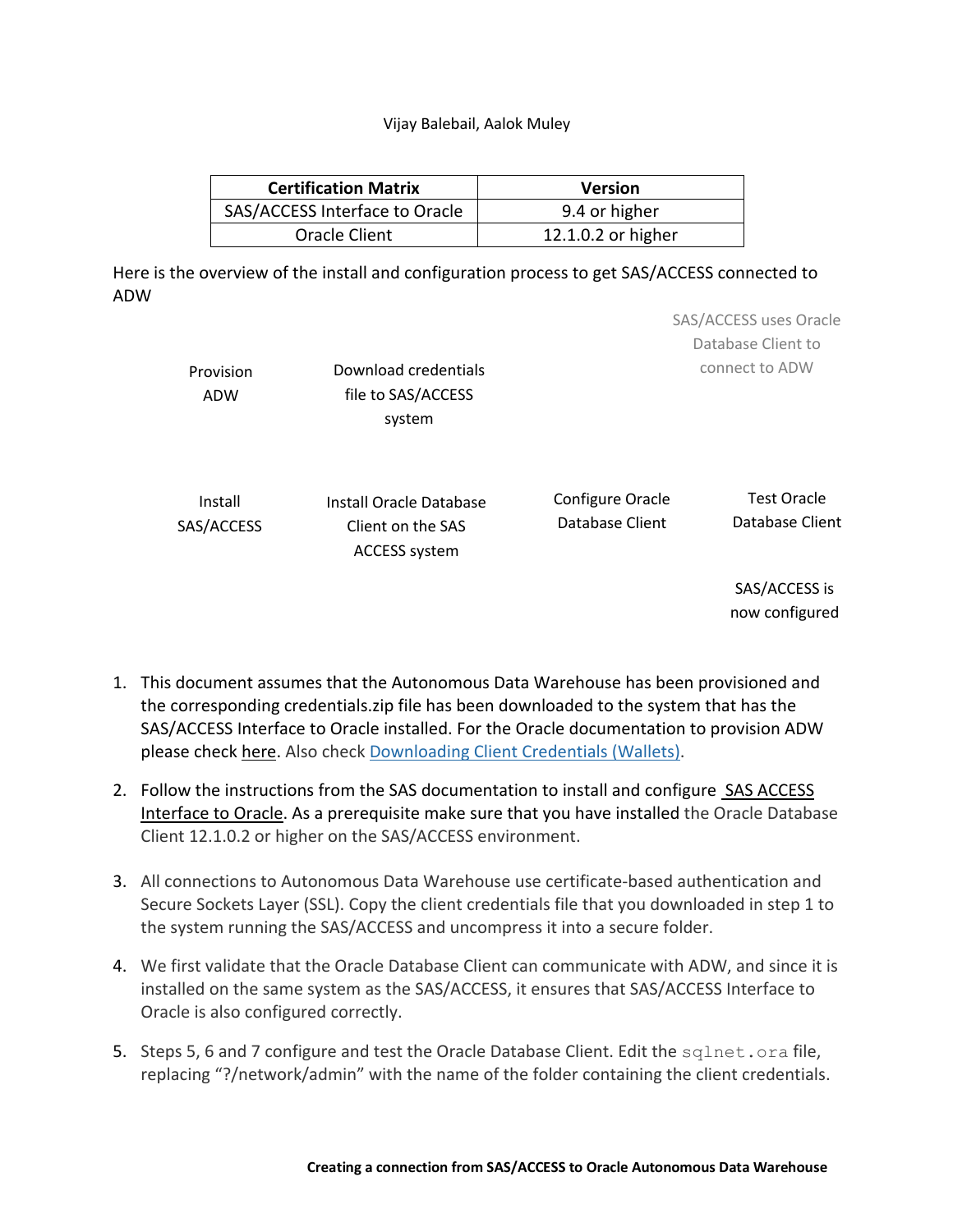## Vijay Balebail, Aalok Muley

| <b>Certification Matrix</b>    | <b>Version</b>     |  |  |  |
|--------------------------------|--------------------|--|--|--|
| SAS/ACCESS Interface to Oracle | 9.4 or higher      |  |  |  |
| Oracle Client                  | 12.1.0.2 or higher |  |  |  |

 Here is the overview of the install and configuration process to get SAS/ACCESS connected to ADW

| Provision<br><b>ADW</b> | Download credentials<br>file to SAS/ACCESS<br>system                 |                                     | SAS/ACCESS uses Oracle<br>Database Client to<br>connect to ADW |  |  |
|-------------------------|----------------------------------------------------------------------|-------------------------------------|----------------------------------------------------------------|--|--|
| Install<br>SAS/ACCESS   | Install Oracle Database<br>Client on the SAS<br><b>ACCESS system</b> | Configure Oracle<br>Database Client | <b>Test Oracle</b><br>Database Client                          |  |  |
|                         |                                                                      |                                     | SAS/ACCESS is<br>now configured                                |  |  |

- 1. This document assumes that the Autonomous Data Warehouse has been provisioned and the corresponding credentials.zip file has been downloaded to the system that has the SAS/ACCESS Interface to Oracle installed. For the Oracle documentation to provision ADW please check here. Also check Downloading Client Credentials (Wallets).
- 2. Follow the instructions from the SAS documentation to install and configure SAS ACCESS Interface to Oracle. As a prerequisite make sure that you have installed the Oracle Database Client 12.1.0.2 or higher on the SAS/ACCESS environment.
- 3. All connections to Autonomous Data Warehouse use certificate-based authentication and Secure Sockets Layer (SSL). Copy the client credentials file that you downloaded in step 1 to the system running the SAS/ACCESS and uncompress it into a secure folder.
- 4. We first validate that the Oracle Database Client can communicate with ADW, and since it is installed on the same system as the SAS/ACCESS, it ensures that SAS/ACCESS Interface to Oracle is also configured correctly.
- 5. Steps 5, 6 and 7 configure and test the Oracle Database Client. Edit the sqlnet.ora file, replacing "?/network/admin" with the name of the folder containing the client credentials.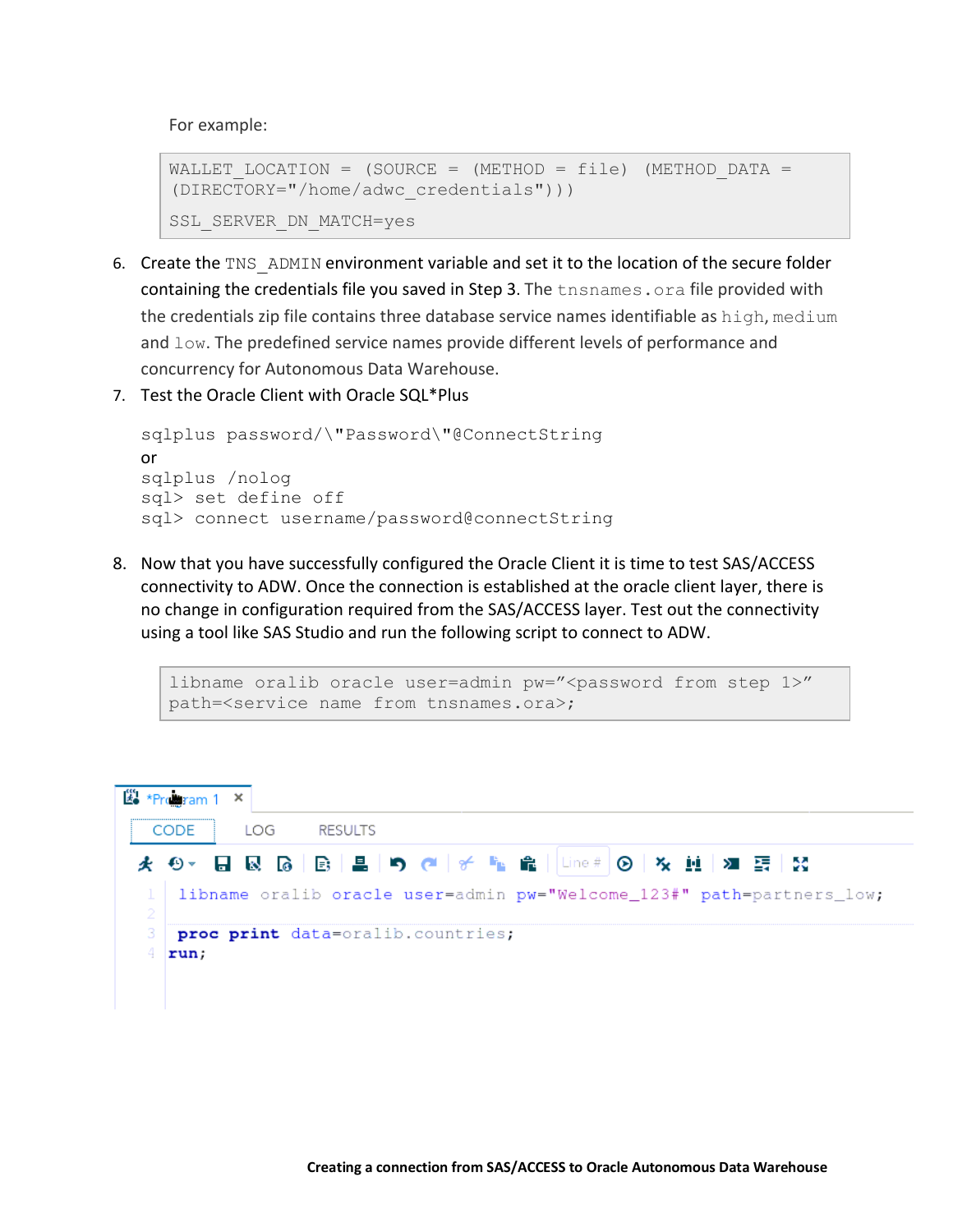For example:

```
WALLET LOCATION = (SOURCE = (METHOD = file) (METHOD DATA =
(DIRECTORY="/home/adwc_credentials"))) 
SSL_SERVER_DN_MATCH=yes
```
- 6. Create the TNS\_ADMIN environment variable and set it to the location of the secure folder containing the credentials file you saved in Step 3. The tnsnames. ora file provided with the credentials zip file contains three database service names identifiable as high, medium and  $\text{low}$ . The predefined service names provide different levels of performance and concurrency for Autonomous Data Warehouse.
- 7. Test the Oracle Client with Oracle SQL\*Plus

```
 
sqlplus password/\"Password\"@ConnectString or 
sqlplus /nolog
sql> set define off
sql> connect username/password@connectString
```
 8. Now that you have successfully configured the Oracle Client it is time to test SAS/ACCESS connectivity to ADW. Once the connection is established at the oracle client layer, there is no change in configuration required from the SAS/ACCESS layer. Test out the connectivity using a tool like SAS Studio and run the following script to connect to ADW.

```
libname oralib oracle user=admin pw = " < password from step 1>"
path=<service name from tnsnames.ora>;
```